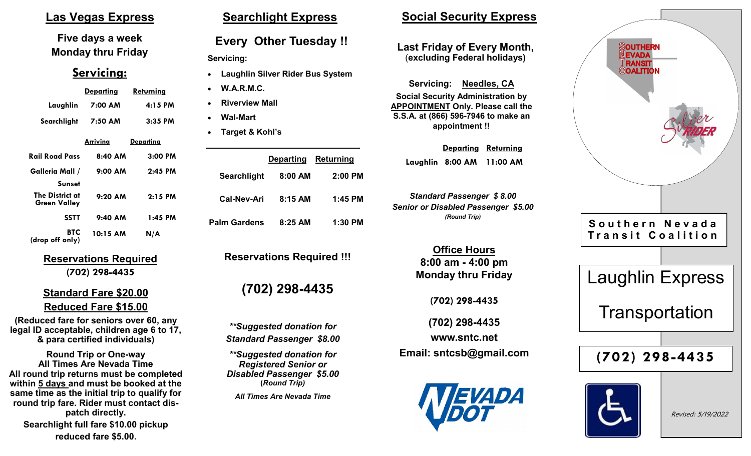### **Las Vegas Express**

**Five days a week Monday thru Friday**

#### **Servicing:**

|                                 | <u>Departing</u> | Returning        |
|---------------------------------|------------------|------------------|
| Laughlin                        | 7:00 AM          | 4:15 PM          |
| Searchlight                     | 7:50 AM          | $3:35$ PM        |
|                                 | <u>Arriving</u>  | <u>Departing</u> |
| Rail Road Pass                  | $8:40$ AM        | $3:00$ PM        |
| Galleria Mall /                 | $9:00$ AM        | $2:45$ PM        |
| <b>Sunset</b>                   |                  |                  |
| The District at<br>Green Valley | $9:20$ AM        | $2:15$ PM        |
| <b>SSTT</b>                     | $9:40$ AM        | 1:45 PM          |
| <b>BTC</b><br>(drop off only)   | 10:15 AM         | N/A              |

**Reservations Required (702) 298-4435**

#### **Standard Fare \$20.00 Reduced Fare \$15.00**

**(Reduced fare for seniors over 60, any legal ID acceptable, children age 6 to 17, & para certified individuals)**

**Round Trip or One-way All Times Are Nevada Time All round trip returns must be completed within 5 days and must be booked at the same time as the initial trip to qualify for round trip fare. Rider must contact dispatch directly. Searchlight full fare \$10.00 pickup reduced fare \$5.00.**

### **Searchlight Express**

### **Every Other Tuesday !!**

#### **Servicing:**

- **Laughlin Silver Rider Bus System**
- **W.A.R.M.C.**
- **Riverview Mall**
- **Wal-Mart**
- **Target & Kohl's**

|              | Departing Returning |           |
|--------------|---------------------|-----------|
| Searchlight  | 8:00 AM             | $2:00$ PM |
| Cal-Nev-Ari  | $8:15$ AM           | 1:45 PM   |
| Palm Gardens | $8:25$ AM           | $1:30$ PM |

**Reservations Required !!!**

## **(702) 298-4435**

*\*\*Suggested donation for Standard Passenger \$8.00*

*\*\*Suggested donation for Registered Senior or Disabled Passenger \$5.00* **(***Round Trip)*

*All Times Are Nevada Time*

### **Social Security Express**

#### **Last Friday of Every Month,** (**excluding Federal holidays)**

**Servicing: Needles, CA Social Security Administration by APPOINTMENT Only. Please call the S.S.A. at (866) 596-7946 to make an appointment !!**

> **Departing Returning Laughlin 8:00 AM 11:00 AM**

*Standard Passenger \$ 8.00 Senior or Disabled Passenger \$5.00 (Round Trip)*

> **Office Hours 8:00 am - 4:00 pm Monday thru Friday**

> > **(702) 298-4435**

**(702) 298-4435 www.sntc.net Email: sntcsb@gmail.com**